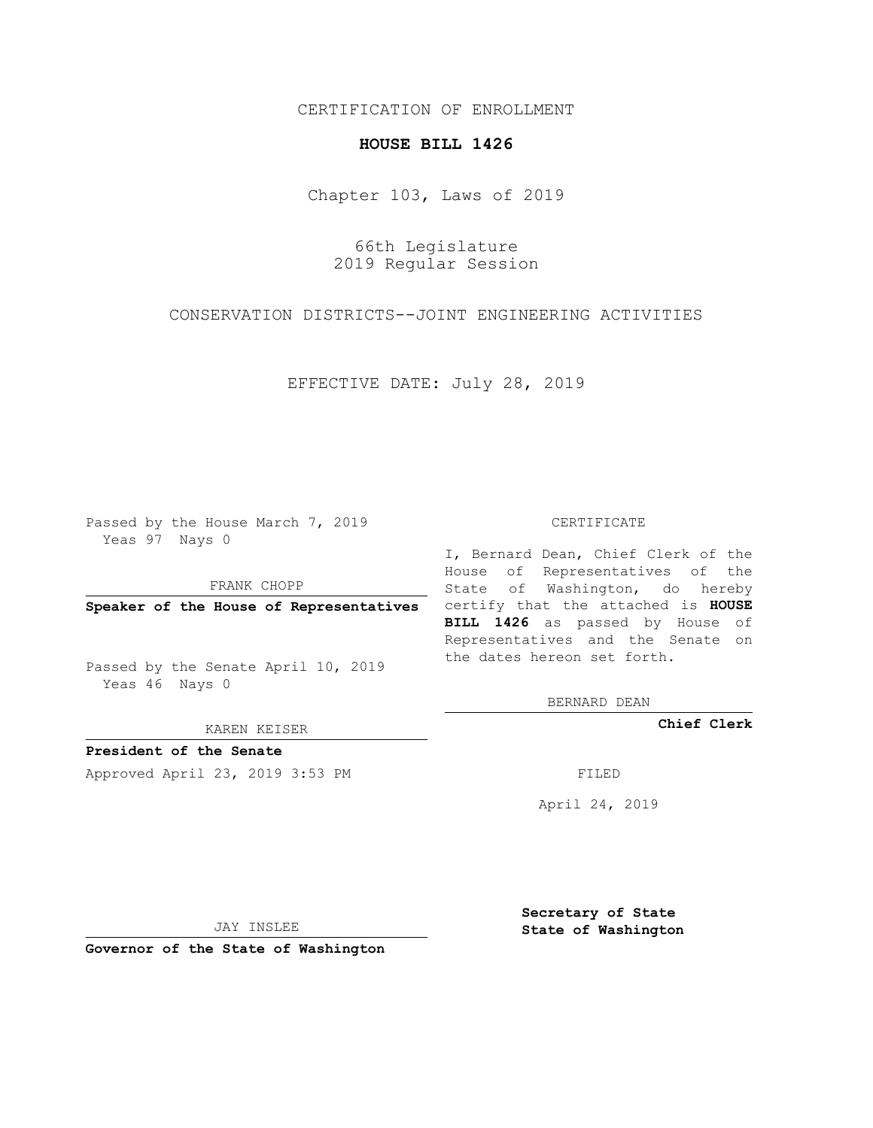## CERTIFICATION OF ENROLLMENT

## **HOUSE BILL 1426**

Chapter 103, Laws of 2019

66th Legislature 2019 Regular Session

CONSERVATION DISTRICTS--JOINT ENGINEERING ACTIVITIES

EFFECTIVE DATE: July 28, 2019

Passed by the House March 7, 2019 Yeas 97 Nays 0

FRANK CHOPP

Passed by the Senate April 10, 2019 Yeas 46 Nays 0

KAREN KEISER

**President of the Senate**

Approved April 23, 2019 3:53 PM FILED

## CERTIFICATE

**Speaker of the House of Representatives** certify that the attached is **HOUSE** I, Bernard Dean, Chief Clerk of the House of Representatives of the State of Washington, do hereby **BILL 1426** as passed by House of Representatives and the Senate on the dates hereon set forth.

BERNARD DEAN

**Chief Clerk**

April 24, 2019

JAY INSLEE

**Governor of the State of Washington**

**Secretary of State State of Washington**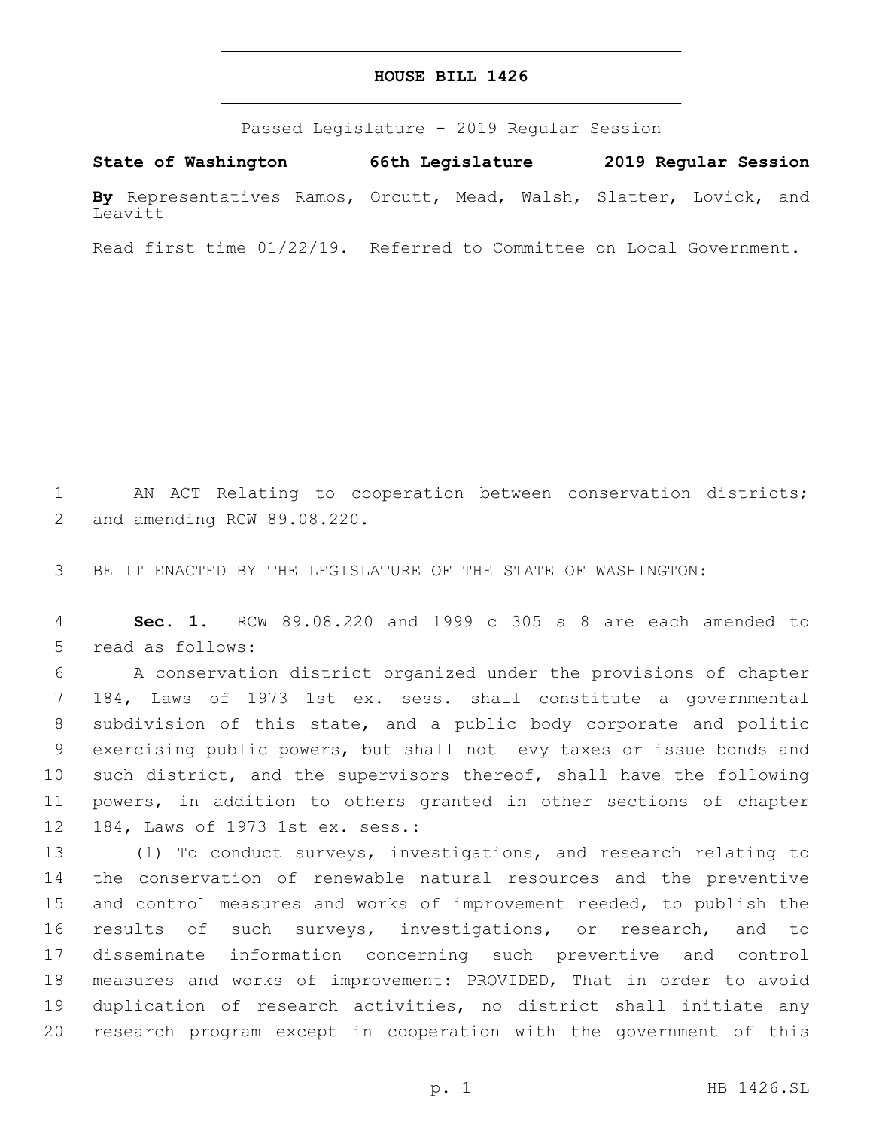## **HOUSE BILL 1426**

Passed Legislature - 2019 Regular Session

**State of Washington 66th Legislature 2019 Regular Session By** Representatives Ramos, Orcutt, Mead, Walsh, Slatter, Lovick, and Leavitt

Read first time 01/22/19. Referred to Committee on Local Government.

 AN ACT Relating to cooperation between conservation districts; 2 and amending RCW 89.08.220.

BE IT ENACTED BY THE LEGISLATURE OF THE STATE OF WASHINGTON:

 **Sec. 1.** RCW 89.08.220 and 1999 c 305 s 8 are each amended to 5 read as follows:

 A conservation district organized under the provisions of chapter 184, Laws of 1973 1st ex. sess. shall constitute a governmental subdivision of this state, and a public body corporate and politic exercising public powers, but shall not levy taxes or issue bonds and such district, and the supervisors thereof, shall have the following powers, in addition to others granted in other sections of chapter 12 184, Laws of 1973 1st ex. sess.:

 (1) To conduct surveys, investigations, and research relating to the conservation of renewable natural resources and the preventive and control measures and works of improvement needed, to publish the results of such surveys, investigations, or research, and to disseminate information concerning such preventive and control measures and works of improvement: PROVIDED, That in order to avoid duplication of research activities, no district shall initiate any research program except in cooperation with the government of this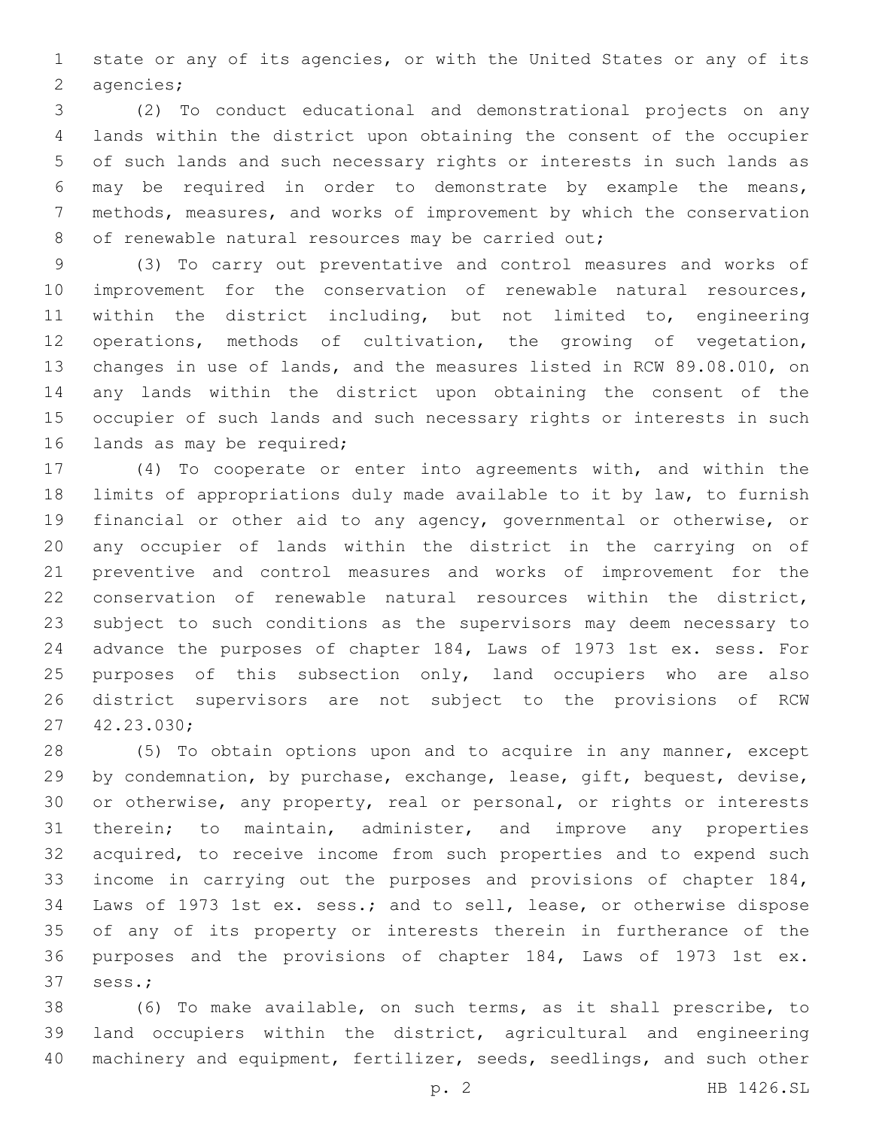state or any of its agencies, or with the United States or any of its 2 agencies;

 (2) To conduct educational and demonstrational projects on any lands within the district upon obtaining the consent of the occupier of such lands and such necessary rights or interests in such lands as may be required in order to demonstrate by example the means, methods, measures, and works of improvement by which the conservation 8 of renewable natural resources may be carried out;

 (3) To carry out preventative and control measures and works of improvement for the conservation of renewable natural resources, within the district including, but not limited to, engineering operations, methods of cultivation, the growing of vegetation, changes in use of lands, and the measures listed in RCW 89.08.010, on any lands within the district upon obtaining the consent of the occupier of such lands and such necessary rights or interests in such 16 lands as may be required;

 (4) To cooperate or enter into agreements with, and within the limits of appropriations duly made available to it by law, to furnish financial or other aid to any agency, governmental or otherwise, or any occupier of lands within the district in the carrying on of preventive and control measures and works of improvement for the conservation of renewable natural resources within the district, subject to such conditions as the supervisors may deem necessary to advance the purposes of chapter 184, Laws of 1973 1st ex. sess. For 25 purposes of this subsection only, land occupiers who are also district supervisors are not subject to the provisions of RCW 42.23.030;27

 (5) To obtain options upon and to acquire in any manner, except by condemnation, by purchase, exchange, lease, gift, bequest, devise, or otherwise, any property, real or personal, or rights or interests therein; to maintain, administer, and improve any properties acquired, to receive income from such properties and to expend such income in carrying out the purposes and provisions of chapter 184, Laws of 1973 1st ex. sess.; and to sell, lease, or otherwise dispose of any of its property or interests therein in furtherance of the purposes and the provisions of chapter 184, Laws of 1973 1st ex. 37 sess.;

 (6) To make available, on such terms, as it shall prescribe, to land occupiers within the district, agricultural and engineering 40 machinery and equipment, fertilizer, seeds, seedlings, and such other

p. 2 HB 1426.SL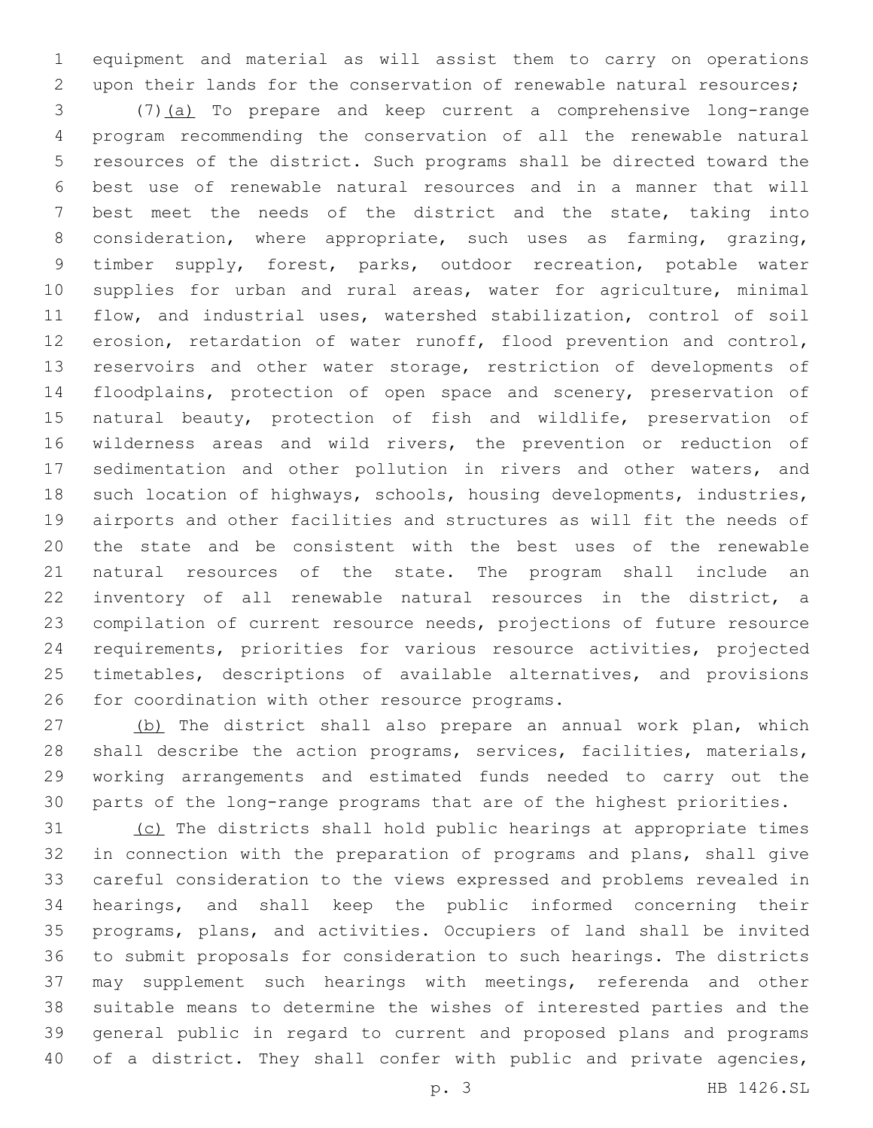equipment and material as will assist them to carry on operations upon their lands for the conservation of renewable natural resources;

 (7)(a) To prepare and keep current a comprehensive long-range program recommending the conservation of all the renewable natural resources of the district. Such programs shall be directed toward the best use of renewable natural resources and in a manner that will best meet the needs of the district and the state, taking into consideration, where appropriate, such uses as farming, grazing, timber supply, forest, parks, outdoor recreation, potable water supplies for urban and rural areas, water for agriculture, minimal flow, and industrial uses, watershed stabilization, control of soil erosion, retardation of water runoff, flood prevention and control, reservoirs and other water storage, restriction of developments of floodplains, protection of open space and scenery, preservation of natural beauty, protection of fish and wildlife, preservation of wilderness areas and wild rivers, the prevention or reduction of sedimentation and other pollution in rivers and other waters, and such location of highways, schools, housing developments, industries, airports and other facilities and structures as will fit the needs of the state and be consistent with the best uses of the renewable natural resources of the state. The program shall include an inventory of all renewable natural resources in the district, a compilation of current resource needs, projections of future resource requirements, priorities for various resource activities, projected timetables, descriptions of available alternatives, and provisions 26 for coordination with other resource programs.

 (b) The district shall also prepare an annual work plan, which shall describe the action programs, services, facilities, materials, working arrangements and estimated funds needed to carry out the parts of the long-range programs that are of the highest priorities.

 (c) The districts shall hold public hearings at appropriate times in connection with the preparation of programs and plans, shall give careful consideration to the views expressed and problems revealed in hearings, and shall keep the public informed concerning their programs, plans, and activities. Occupiers of land shall be invited to submit proposals for consideration to such hearings. The districts may supplement such hearings with meetings, referenda and other suitable means to determine the wishes of interested parties and the general public in regard to current and proposed plans and programs 40 of a district. They shall confer with public and private agencies,

p. 3 HB 1426.SL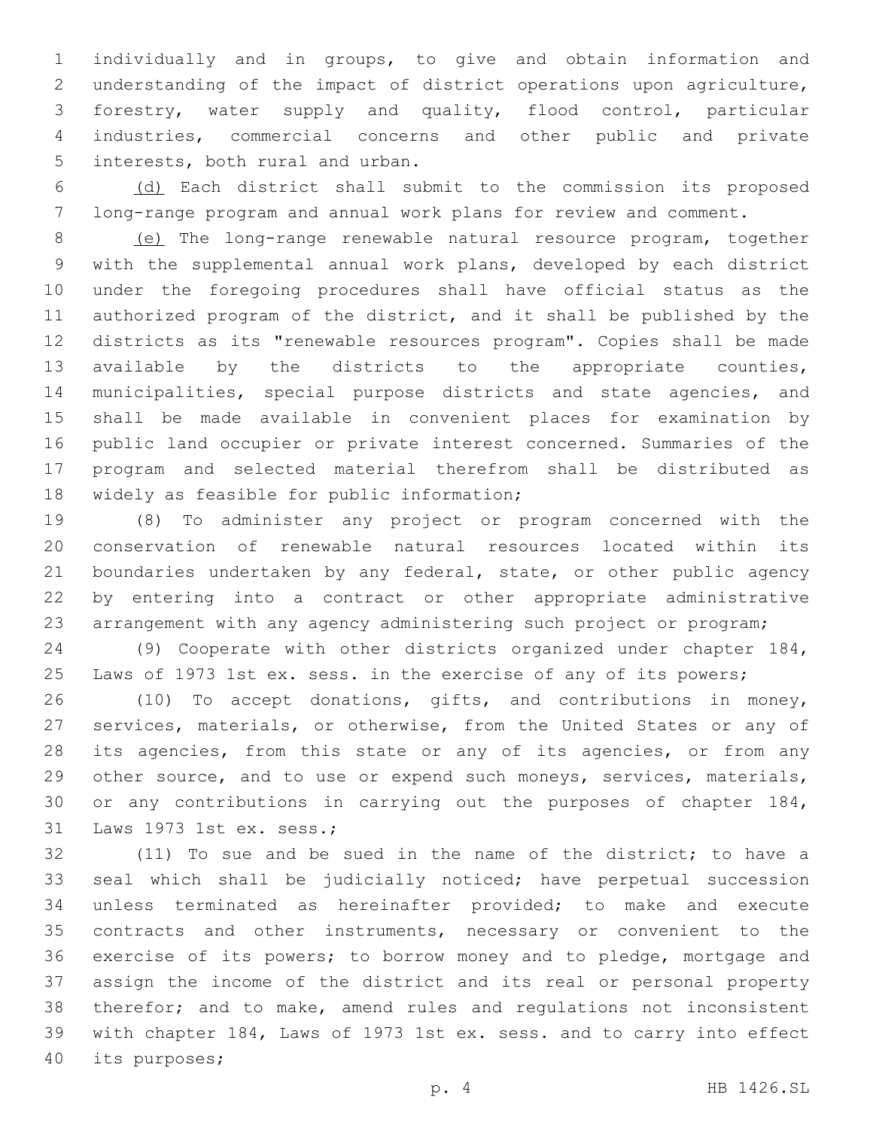individually and in groups, to give and obtain information and understanding of the impact of district operations upon agriculture, forestry, water supply and quality, flood control, particular industries, commercial concerns and other public and private 5 interests, both rural and urban.

 (d) Each district shall submit to the commission its proposed long-range program and annual work plans for review and comment.

 (e) The long-range renewable natural resource program, together with the supplemental annual work plans, developed by each district under the foregoing procedures shall have official status as the authorized program of the district, and it shall be published by the districts as its "renewable resources program". Copies shall be made available by the districts to the appropriate counties, municipalities, special purpose districts and state agencies, and shall be made available in convenient places for examination by public land occupier or private interest concerned. Summaries of the program and selected material therefrom shall be distributed as 18 widely as feasible for public information;

 (8) To administer any project or program concerned with the conservation of renewable natural resources located within its 21 boundaries undertaken by any federal, state, or other public agency by entering into a contract or other appropriate administrative arrangement with any agency administering such project or program;

 (9) Cooperate with other districts organized under chapter 184, Laws of 1973 1st ex. sess. in the exercise of any of its powers;

 (10) To accept donations, gifts, and contributions in money, services, materials, or otherwise, from the United States or any of 28 its agencies, from this state or any of its agencies, or from any 29 other source, and to use or expend such moneys, services, materials, or any contributions in carrying out the purposes of chapter 184, 31 Laws 1973 1st ex. sess.;

 (11) To sue and be sued in the name of the district; to have a seal which shall be judicially noticed; have perpetual succession unless terminated as hereinafter provided; to make and execute contracts and other instruments, necessary or convenient to the exercise of its powers; to borrow money and to pledge, mortgage and assign the income of the district and its real or personal property therefor; and to make, amend rules and regulations not inconsistent with chapter 184, Laws of 1973 1st ex. sess. and to carry into effect 40 its purposes;